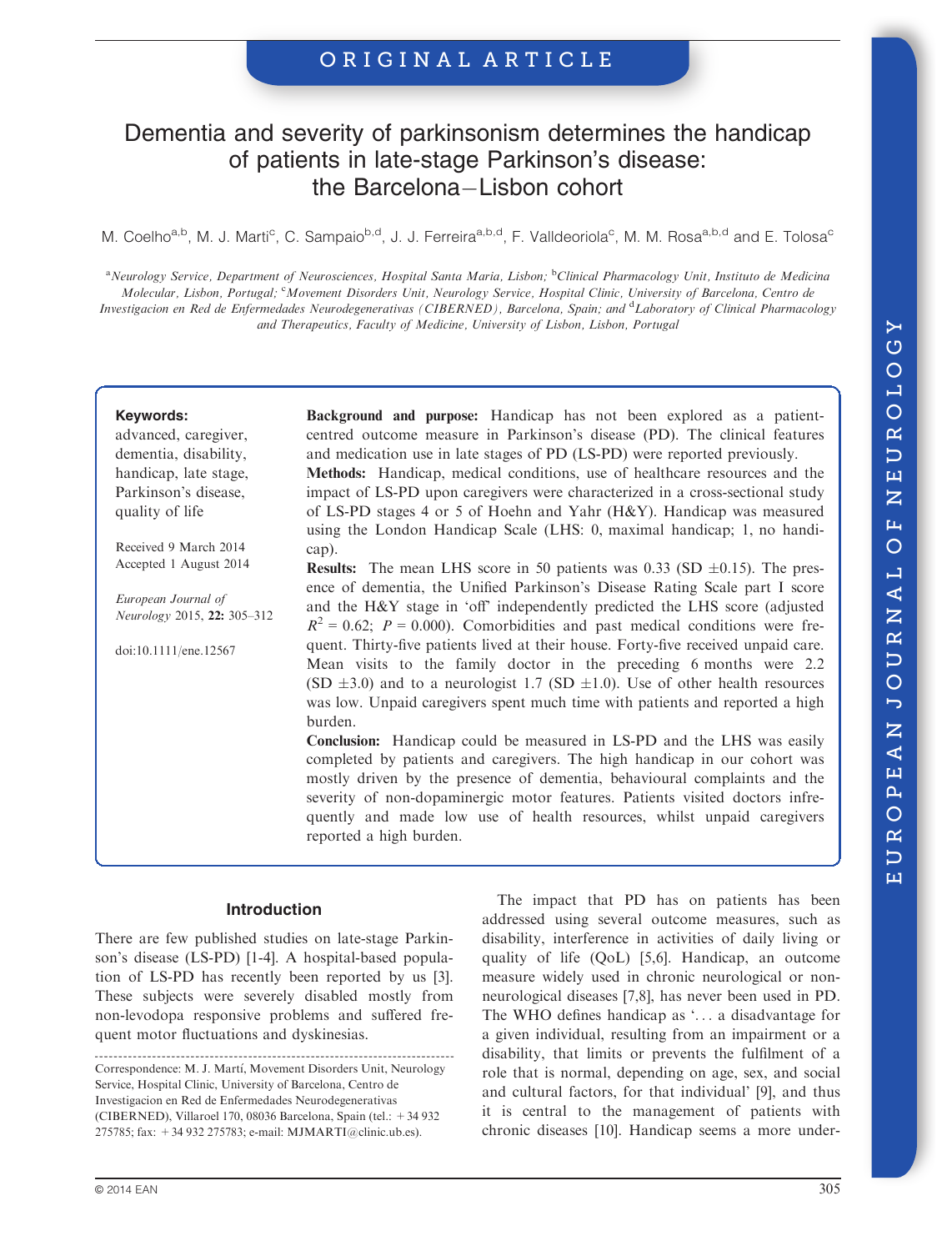# ORIGINAL ARTICLE

# Dementia and severity of parkinsonism determines the handicap of patients in late-stage Parkinson's disease: the Barcelona-Lisbon cohort

M. Coelho<sup>a,b</sup>, M. J. Marti<sup>c</sup>, C. Sampaio<sup>b,d</sup>, J. J. Ferreira<sup>a,b,d</sup>, F. Valldeoriola<sup>c</sup>, M. M. Rosa<sup>a,b,d</sup> and E. Tolosa<sup>c</sup>

<sup>a</sup>Neurology Service, Department of Neurosciences, Hospital Santa Maria, Lisbon; <sup>b</sup>Clinical Pharmacology Unit, Instituto de Medicina Molecular, Lisbon, Portugal; <sup>c</sup>Movement Disorders Unit, Neurology Service, Hospital Clinic, University of Barcelona, Centro de Investigacion en Red de Enfermedades Neurodegenerativas (CIBERNED), Barcelona, Spain; and <sup>d</sup>Laboratory of Clinical Pharmacology and Therapeutics, Faculty of Medicine, University of Lisbon, Lisbon, Portugal

### Keywords:

advanced, caregiver, dementia, disability, handicap, late stage, Parkinson's disease, quality of life

Received 9 March 2014 Accepted 1 August 2014

European Journal of Neurology 2015, 22: 305–312

doi:10.1111/ene.12567

Background and purpose: Handicap has not been explored as a patientcentred outcome measure in Parkinson's disease (PD). The clinical features and medication use in late stages of PD (LS-PD) were reported previously. Methods: Handicap, medical conditions, use of healthcare resources and the

impact of LS-PD upon caregivers were characterized in a cross-sectional study of LS-PD stages 4 or 5 of Hoehn and Yahr (H&Y). Handicap was measured using the London Handicap Scale (LHS: 0, maximal handicap; 1, no handicap).

**Results:** The mean LHS score in 50 patients was  $0.33$  (SD  $\pm 0.15$ ). The presence of dementia, the Unified Parkinson's Disease Rating Scale part I score and the H&Y stage in 'off' independently predicted the LHS score (adjusted  $R^2 = 0.62$ ;  $P = 0.000$ ). Comorbidities and past medical conditions were frequent. Thirty-five patients lived at their house. Forty-five received unpaid care. Mean visits to the family doctor in the preceding 6 months were 2.2 (SD  $\pm 3.0$ ) and to a neurologist 1.7 (SD  $\pm 1.0$ ). Use of other health resources was low. Unpaid caregivers spent much time with patients and reported a high burden.

Conclusion: Handicap could be measured in LS-PD and the LHS was easily completed by patients and caregivers. The high handicap in our cohort was mostly driven by the presence of dementia, behavioural complaints and the severity of non-dopaminergic motor features. Patients visited doctors infrequently and made low use of health resources, whilst unpaid caregivers reported a high burden.

# Introduction

There are few published studies on late-stage Parkinson's disease (LS-PD) [1-4]. A hospital-based population of LS-PD has recently been reported by us [3]. These subjects were severely disabled mostly from non-levodopa responsive problems and suffered frequent motor fluctuations and dyskinesias.

The impact that PD has on patients has been addressed using several outcome measures, such as disability, interference in activities of daily living or quality of life (QoL) [5,6]. Handicap, an outcome measure widely used in chronic neurological or nonneurological diseases [7,8], has never been used in PD. The WHO defines handicap as '... a disadvantage for a given individual, resulting from an impairment or a disability, that limits or prevents the fulfilment of a role that is normal, depending on age, sex, and social and cultural factors, for that individual' [9], and thus it is central to the management of patients with chronic diseases [10]. Handicap seems a more under-

Correspondence: M. J. Martí, Movement Disorders Unit, Neurology Service, Hospital Clinic, University of Barcelona, Centro de Investigacion en Red de Enfermedades Neurodegenerativas (CIBERNED), Villaroel 170, 08036 Barcelona, Spain (tel.: +34 932 275785; fax: +34 932 275783; e-mail: MJMARTI@clinic.ub.es).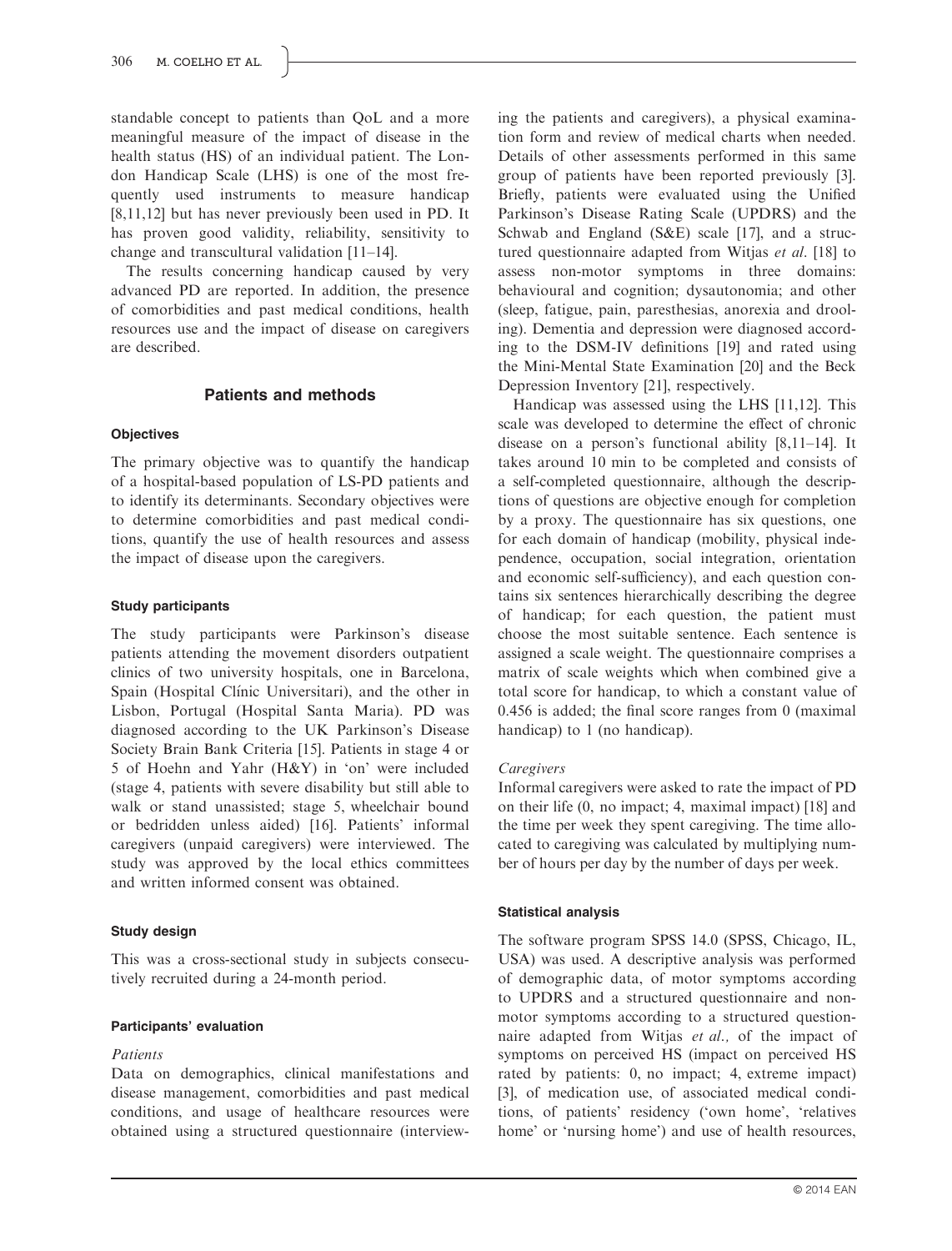standable concept to patients than QoL and a more meaningful measure of the impact of disease in the health status (HS) of an individual patient. The London Handicap Scale (LHS) is one of the most frequently used instruments to measure handicap [8,11,12] but has never previously been used in PD. It has proven good validity, reliability, sensitivity to change and transcultural validation [11–14].

The results concerning handicap caused by very advanced PD are reported. In addition, the presence of comorbidities and past medical conditions, health resources use and the impact of disease on caregivers are described.

# Patients and methods

# **Objectives**

The primary objective was to quantify the handicap of a hospital-based population of LS-PD patients and to identify its determinants. Secondary objectives were to determine comorbidities and past medical conditions, quantify the use of health resources and assess the impact of disease upon the caregivers.

## Study participants

The study participants were Parkinson's disease patients attending the movement disorders outpatient clinics of two university hospitals, one in Barcelona, Spain (Hospital Clínic Universitari), and the other in Lisbon, Portugal (Hospital Santa Maria). PD was diagnosed according to the UK Parkinson's Disease Society Brain Bank Criteria [15]. Patients in stage 4 or 5 of Hoehn and Yahr (H&Y) in 'on' were included (stage 4, patients with severe disability but still able to walk or stand unassisted; stage 5, wheelchair bound or bedridden unless aided) [16]. Patients' informal caregivers (unpaid caregivers) were interviewed. The study was approved by the local ethics committees and written informed consent was obtained.

# Study design

This was a cross-sectional study in subjects consecutively recruited during a 24-month period.

## Participants' evaluation

# Patients

Data on demographics, clinical manifestations and disease management, comorbidities and past medical conditions, and usage of healthcare resources were obtained using a structured questionnaire (interviewing the patients and caregivers), a physical examination form and review of medical charts when needed. Details of other assessments performed in this same group of patients have been reported previously [3]. Briefly, patients were evaluated using the Unified Parkinson's Disease Rating Scale (UPDRS) and the Schwab and England (S&E) scale [17], and a structured questionnaire adapted from Witjas et al. [18] to assess non-motor symptoms in three domains: behavioural and cognition; dysautonomia; and other (sleep, fatigue, pain, paresthesias, anorexia and drooling). Dementia and depression were diagnosed according to the DSM-IV definitions [19] and rated using the Mini-Mental State Examination [20] and the Beck Depression Inventory [21], respectively.

Handicap was assessed using the LHS [11,12]. This scale was developed to determine the effect of chronic disease on a person's functional ability [8,11–14]. It takes around 10 min to be completed and consists of a self-completed questionnaire, although the descriptions of questions are objective enough for completion by a proxy. The questionnaire has six questions, one for each domain of handicap (mobility, physical independence, occupation, social integration, orientation and economic self-sufficiency), and each question contains six sentences hierarchically describing the degree of handicap; for each question, the patient must choose the most suitable sentence. Each sentence is assigned a scale weight. The questionnaire comprises a matrix of scale weights which when combined give a total score for handicap, to which a constant value of 0.456 is added; the final score ranges from 0 (maximal handicap) to 1 (no handicap).

## Caregivers

Informal caregivers were asked to rate the impact of PD on their life (0, no impact; 4, maximal impact) [18] and the time per week they spent caregiving. The time allocated to caregiving was calculated by multiplying number of hours per day by the number of days per week.

# Statistical analysis

The software program SPSS 14.0 (SPSS, Chicago, IL, USA) was used. A descriptive analysis was performed of demographic data, of motor symptoms according to UPDRS and a structured questionnaire and nonmotor symptoms according to a structured questionnaire adapted from Witjas et al., of the impact of symptoms on perceived HS (impact on perceived HS rated by patients: 0, no impact; 4, extreme impact) [3], of medication use, of associated medical conditions, of patients' residency ('own home', 'relatives home' or 'nursing home') and use of health resources,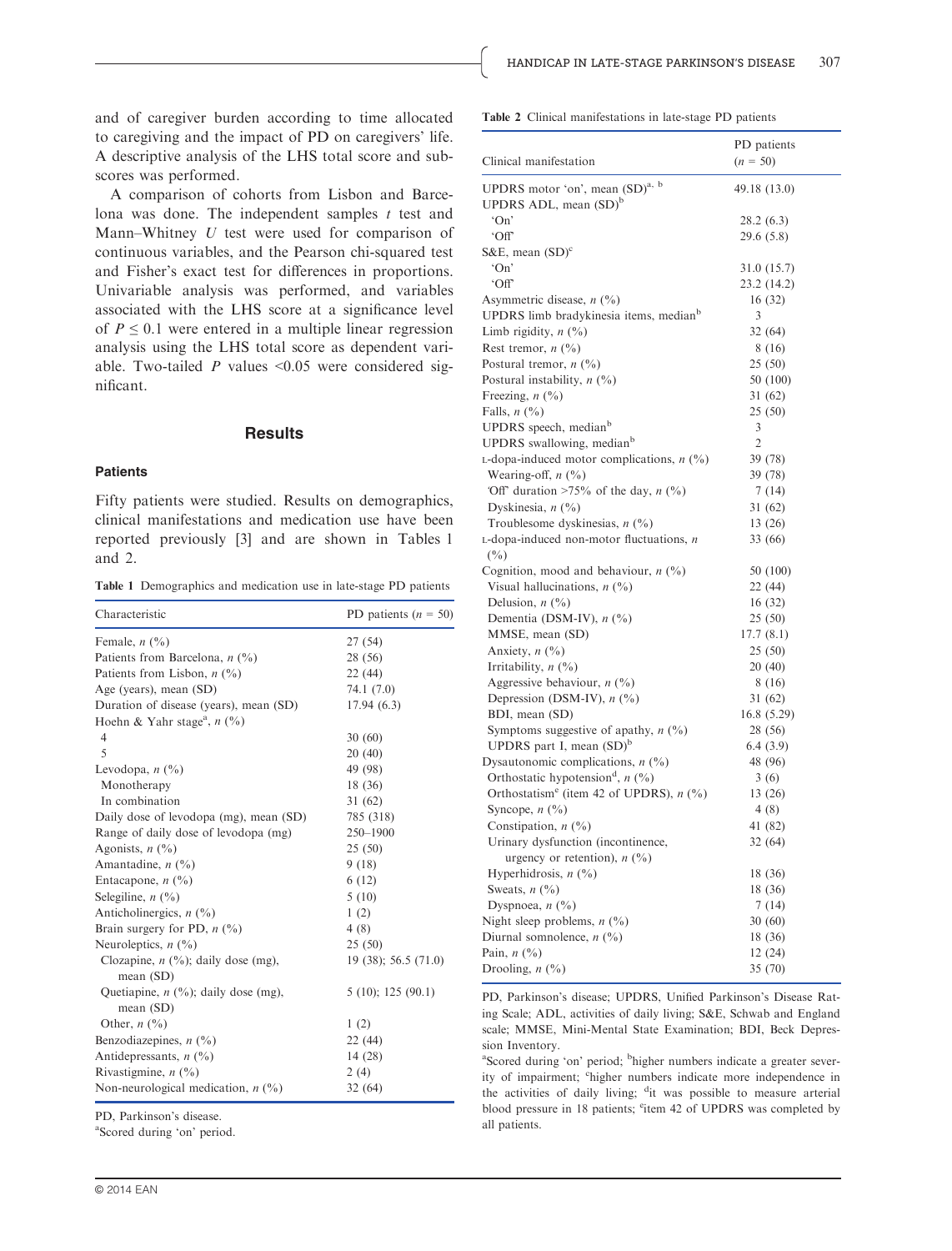and of caregiver burden according to time allocated to caregiving and the impact of PD on caregivers' life. A descriptive analysis of the LHS total score and subscores was performed.

A comparison of cohorts from Lisbon and Barcelona was done. The independent samples  $t$  test and Mann–Whitney U test were used for comparison of continuous variables, and the Pearson chi-squared test and Fisher's exact test for differences in proportions. Univariable analysis was performed, and variables associated with the LHS score at a significance level of  $P \leq 0.1$  were entered in a multiple linear regression analysis using the LHS total score as dependent variable. Two-tailed  $P$  values <0.05 were considered significant.

## **Results**

#### **Patients**

Fifty patients were studied. Results on demographics, clinical manifestations and medication use have been reported previously [3] and are shown in Tables 1 and 2.

Table 1 Demographics and medication use in late-stage PD patients

| Characteristic                                            | PD patients ( $n = 50$ ) |  |  |
|-----------------------------------------------------------|--------------------------|--|--|
| Female, $n$ $(\%)$                                        | 27 (54)                  |  |  |
| Patients from Barcelona, $n$ (%)                          | 28 (56)                  |  |  |
| Patients from Lisbon, $n$ (%)                             | 22 (44)                  |  |  |
| Age (years), mean (SD)                                    | 74.1 (7.0)               |  |  |
| Duration of disease (years), mean (SD)                    | 17.94(6.3)               |  |  |
| Hoehn & Yahr stage <sup>a</sup> , $n$ (%)                 |                          |  |  |
| 4                                                         | 30(60)                   |  |  |
| 5                                                         | 20(40)                   |  |  |
| Levodopa, $n\left(\frac{0}{0}\right)$                     | 49 (98)                  |  |  |
| Monotherapy                                               | 18 (36)                  |  |  |
| In combination                                            | 31(62)                   |  |  |
| Daily dose of levodopa (mg), mean (SD)                    | 785 (318)                |  |  |
| Range of daily dose of levodopa (mg)                      | 250-1900                 |  |  |
| Agonists, $n$ $(\frac{9}{0})$                             | 25(50)                   |  |  |
| Amantadine, $n$ (%)                                       | 9(18)                    |  |  |
| Entacapone, $n$ (%)                                       | 6(12)                    |  |  |
| Selegiline, $n$ $(\frac{9}{6})$                           | 5(10)                    |  |  |
| Anticholinergics, $n$ (%)                                 | 1(2)                     |  |  |
| Brain surgery for PD, $n$ (%)                             | 4(8)                     |  |  |
| Neuroleptics, $n$ (%)                                     | 25(50)                   |  |  |
| Clozapine, $n$ (%); daily dose (mg),<br>mean $(SD)$       | 19(38); 56.5(71.0)       |  |  |
| Quetiapine, $n$ $(\% )$ ; daily dose (mg),<br>mean $(SD)$ | 5(10); 125(90.1)         |  |  |
| Other, $n \left(\frac{0}{0}\right)$                       | 1(2)                     |  |  |
| Benzodiazepines, $n$ (%)                                  | 22(44)                   |  |  |
| Antidepressants, $n$ (%)                                  | 14(28)                   |  |  |
| Rivastigmine, $n$ (%)                                     | 2(4)                     |  |  |
| Non-neurological medication, $n$ (%)                      | 32(64)                   |  |  |

PD, Parkinson's disease.

a Scored during 'on' period.

Table 2 Clinical manifestations in late-stage PD patients

|                                                     | PD patients    |
|-----------------------------------------------------|----------------|
| Clinical manifestation                              | $(n = 50)$     |
| UPDRS motor 'on', mean (SD) <sup>a, b</sup>         |                |
| UPDRS ADL, mean (SD) <sup>b</sup>                   | 49.18 (13.0)   |
| 'On'                                                | 28.2 (6.3)     |
| 'Off                                                | 29.6 (5.8)     |
| S&E, mean $(SD)^c$                                  |                |
| 'On'                                                | 31.0 (15.7)    |
| 'Off                                                | 23.2 (14.2)    |
| Asymmetric disease, $n$ (%)                         | 16 (32)        |
| UPDRS limb bradykinesia items, median <sup>b</sup>  | 3              |
| Limb rigidity, $n$ (%)                              | 32 (64)        |
| Rest tremor, $n$ (%)                                | 8 (16)         |
| Postural tremor, $n$ (%)                            | 25 (50)        |
| Postural instability, $n$ (%)                       | 50 (100)       |
| Freezing, n (%)                                     | 31 (62)        |
| Falls, $n$ (%)                                      | 25(50)         |
| UPDRS speech, median <sup>b</sup>                   | 3              |
| UPDRS swallowing, median <sup>b</sup>               | $\overline{2}$ |
| L-dopa-induced motor complications, $n$ (%)         | 39 (78)        |
| Wearing-off, $n$ (%)                                | 39 (78)        |
| 'Off' duration >75% of the day, $n$ (%)             | 7(14)          |
| Dyskinesia, $n$ (%)                                 | 31 (62)        |
| Troublesome dyskinesias, $n$ (%)                    | 13 (26)        |
| $L$ -dopa-induced non-motor fluctuations, $n$       | 33 (66)        |
| $(\%)$                                              |                |
| Cognition, mood and behaviour, $n$ (%)              | 50 (100)       |
| Visual hallucinations, $n$ (%)                      | 22 (44)        |
| Delusion, $n$ (%)                                   | 16(32)         |
| Dementia (DSM-IV), $n$ (%)                          | 25(50)         |
| MMSE, mean (SD)                                     | 17.7(8.1)      |
| Anxiety, $n$ (%)                                    | 25 (50)        |
| Irritability, $n$ (%)                               | 20(40)         |
| Aggressive behaviour, $n$ (%)                       | 8 (16)         |
| Depression (DSM-IV), $n$ (%)                        | 31 (62)        |
| BDI, mean (SD)                                      | 16.8(5.29)     |
| Symptoms suggestive of apathy, $n$ (%)              | 28 (56)        |
| UPDRS part I, mean $(SD)^b$                         | 6.4(3.9)       |
| Dysautonomic complications, $n$ (%)                 | 48 (96)        |
| Orthostatic hypotension <sup>d</sup> , $n$ (%)      | 3(6)           |
| Orthostatism <sup>e</sup> (item 42 of UPDRS), n (%) | 13 (26)        |
| Syncope, $n$ (%)                                    | 4(8)           |
| Constipation, $n$ (%)                               | 41 (82)        |
| Urinary dysfunction (incontinence,                  | 32 (64)        |
| urgency or retention), $n$ (%)                      |                |
| Hyperhidrosis, $n$ (%)                              | 18 (36)        |
| Sweats, $n\left(\frac{0}{0}\right)$                 | 18 (36)        |
| Dyspnoea, $n\binom{0}{0}$                           | 7(14)          |
| Night sleep problems, $n$ (%)                       | 30 (60)        |
| Diurnal somnolence, $n$ (%)                         | 18 (36)        |
| Pain, $n$ $(\%)$                                    | 12 (24)        |
| Drooling, $n$ $(\%)$                                | 35 (70)        |

PD, Parkinson's disease; UPDRS, Unified Parkinson's Disease Rating Scale; ADL, activities of daily living; S&E, Schwab and England scale; MMSE, Mini-Mental State Examination; BDI, Beck Depression Inventory.

<sup>a</sup>Scored during 'on' period; <sup>b</sup>higher numbers indicate a greater severity of impairment; 'higher numbers indicate more independence in the activities of daily living; <sup>d</sup>it was possible to measure arterial blood pressure in 18 patients; <sup>e</sup>item 42 of UPDRS was completed by all patients.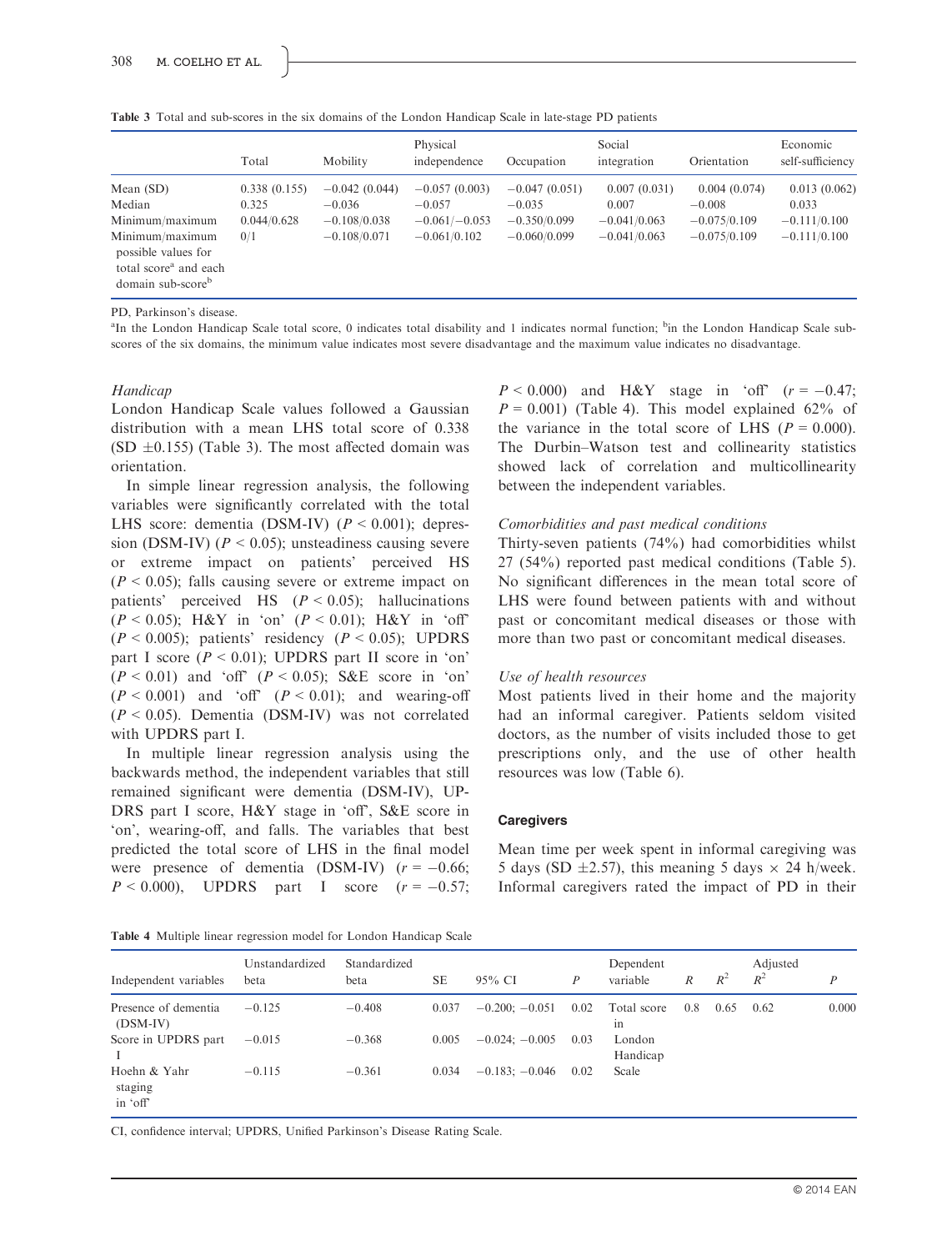Table 3 Total and sub-scores in the six domains of the London Handicap Scale in late-stage PD patients

|                                                                                                                                                          | Total                                       | Mobility                                                        | Physical<br>independence                                         | Occupation                                                      | Social<br>integration                                     | Orientation                                                  | Economic<br>self-sufficiency                              |
|----------------------------------------------------------------------------------------------------------------------------------------------------------|---------------------------------------------|-----------------------------------------------------------------|------------------------------------------------------------------|-----------------------------------------------------------------|-----------------------------------------------------------|--------------------------------------------------------------|-----------------------------------------------------------|
| Mean $(SD)$<br>Median<br>Minimum/maximum<br>Minimum/maximum<br>possible values for<br>total score <sup>a</sup> and each<br>domain sub-score <sup>b</sup> | 0.338(0.155)<br>0.325<br>0.044/0.628<br>0/1 | $-0.042(0.044)$<br>$-0.036$<br>$-0.108/0.038$<br>$-0.108/0.071$ | $-0.057(0.003)$<br>$-0.057$<br>$-0.061/-0.053$<br>$-0.061/0.102$ | $-0.047(0.051)$<br>$-0.035$<br>$-0.350/0.099$<br>$-0.060/0.099$ | 0.007(0.031)<br>0.007<br>$-0.041/0.063$<br>$-0.041/0.063$ | 0.004(0.074)<br>$-0.008$<br>$-0.075/0.109$<br>$-0.075/0.109$ | 0.013(0.062)<br>0.033<br>$-0.111/0.100$<br>$-0.111/0.100$ |

PD, Parkinson's disease.

<sup>a</sup>In the London Handicap Scale total score, 0 indicates total disability and 1 indicates normal function; <sup>b</sup>in the London Handicap Scale subscores of the six domains, the minimum value indicates most severe disadvantage and the maximum value indicates no disadvantage.

#### Handicap

London Handicap Scale values followed a Gaussian distribution with a mean LHS total score of 0.338 (SD  $\pm 0.155$ ) (Table 3). The most affected domain was orientation.

In simple linear regression analysis, the following variables were significantly correlated with the total LHS score: dementia (DSM-IV)  $(P < 0.001)$ ; depression (DSM-IV) ( $P < 0.05$ ); unsteadiness causing severe or extreme impact on patients' perceived HS  $(P < 0.05)$ ; falls causing severe or extreme impact on patients' perceived HS  $(P < 0.05)$ ; hallucinations  $(P < 0.05)$ ; H&Y in 'on'  $(P < 0.01)$ ; H&Y in 'off'  $(P < 0.005)$ ; patients' residency  $(P < 0.05)$ ; UPDRS part I score  $(P < 0.01)$ ; UPDRS part II score in 'on'  $(P < 0.01)$  and 'off'  $(P < 0.05)$ ; S&E score in 'on'  $(P < 0.001)$  and 'off'  $(P < 0.01)$ ; and wearing-off  $(P < 0.05)$ . Dementia (DSM-IV) was not correlated with UPDRS part I.

In multiple linear regression analysis using the backwards method, the independent variables that still remained significant were dementia (DSM-IV), UP-DRS part I score, H&Y stage in 'off', S&E score in 'on', wearing-off, and falls. The variables that best predicted the total score of LHS in the final model were presence of dementia (DSM-IV)  $(r = -0.66;$  $P < 0.000$ ), UPDRS part I score  $(r = -0.57)$ ;  $P < 0.000$ ) and H&Y stage in 'off'  $(r = -0.47;$  $P = 0.001$ ) (Table 4). This model explained 62% of the variance in the total score of LHS ( $P = 0.000$ ). The Durbin–Watson test and collinearity statistics showed lack of correlation and multicollinearity between the independent variables.

#### Comorbidities and past medical conditions

Thirty-seven patients (74%) had comorbidities whilst 27 (54%) reported past medical conditions (Table 5). No significant differences in the mean total score of LHS were found between patients with and without past or concomitant medical diseases or those with more than two past or concomitant medical diseases.

#### Use of health resources

Most patients lived in their home and the majority had an informal caregiver. Patients seldom visited doctors, as the number of visits included those to get prescriptions only, and the use of other health resources was low (Table 6).

#### **Caregivers**

Mean time per week spent in informal caregiving was 5 days (SD  $\pm$ 2.57), this meaning 5 days  $\times$  24 h/week. Informal caregivers rated the impact of PD in their

| Independent variables               | Unstandardized<br>beta | Standardized<br>beta | <b>SE</b> | 95% CI           | $\boldsymbol{P}$ | Dependent<br>variable | $\overline{R}$ | $R^2$ | Adjusted<br>$R^2$ | $\boldsymbol{P}$ |
|-------------------------------------|------------------------|----------------------|-----------|------------------|------------------|-----------------------|----------------|-------|-------------------|------------------|
| Presence of dementia<br>(DSM-IV)    | $-0.125$               | $-0.408$             | 0.037     | $-0.200; -0.051$ | 0.02             | Total score<br>in     | 0.8            | 0.65  | 0.62              | 0.000            |
| Score in UPDRS part<br>1            | $-0.015$               | $-0.368$             | 0.005     | $-0.024; -0.005$ | 0.03             | London<br>Handicap    |                |       |                   |                  |
| Hoehn & Yahr<br>staging<br>in 'off' | $-0.115$               | $-0.361$             | 0.034     | $-0.183; -0.046$ | 0.02             | Scale                 |                |       |                   |                  |

CI, confidence interval; UPDRS, Unified Parkinson's Disease Rating Scale.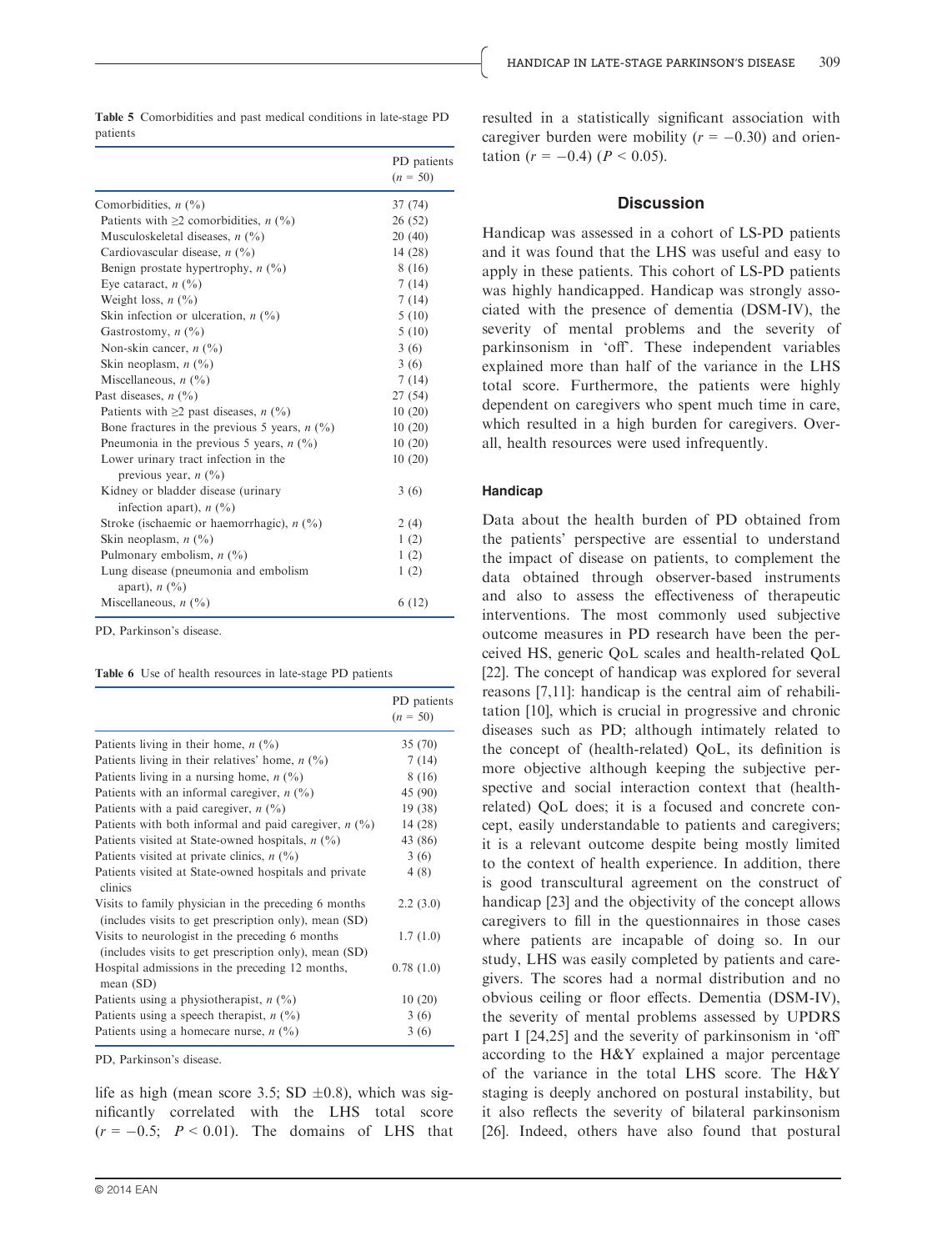Table 5 Comorbidities and past medical conditions in late-stage PD patients

|                                                                             | PD patients<br>$(n = 50)$ |
|-----------------------------------------------------------------------------|---------------------------|
| Comorbidities, $n \binom{0}{0}$                                             | 37 (74)                   |
| Patients with $\geq 2$ comorbidities, <i>n</i> (%)                          | 26 (52)                   |
| Musculoskeletal diseases, $n$ (%)                                           | 20(40)                    |
| Cardiovascular disease, $n$ (%)                                             | 14(28)                    |
| Benign prostate hypertrophy, $n$ (%)                                        | 8 (16)                    |
| Eye cataract, $n$ (%)                                                       | 7(14)                     |
| Weight loss, $n$ (%)                                                        | 7(14)                     |
| Skin infection or ulceration, $n$ (%)                                       | 5(10)                     |
| Gastrostomy, $n$ (%)                                                        | 5(10)                     |
| Non-skin cancer, $n$ (%)                                                    | 3(6)                      |
| Skin neoplasm, $n$ (%)                                                      | 3(6)                      |
| Miscellaneous, $n$ (%)                                                      | 7 (14)                    |
| Past diseases, $n$ (%)                                                      | 27(54)                    |
| Patients with $\geq 2$ past diseases, <i>n</i> (%)                          | 10(20)                    |
| Bone fractures in the previous 5 years, $n$ (%)                             | 10(20)                    |
| Pneumonia in the previous 5 years, $n$ (%)                                  | 10(20)                    |
| Lower urinary tract infection in the<br>previous year, $n$ (%)              | 10(20)                    |
| Kidney or bladder disease (urinary<br>infection apart), $n$ (%)             | 3(6)                      |
| Stroke (ischaemic or haemorrhagic), $n$ (%)                                 | 2(4)                      |
| Skin neoplasm, $n$ (%)                                                      | 1(2)                      |
| Pulmonary embolism, $n$ (%)                                                 | 1(2)                      |
| Lung disease (pneumonia and embolism<br>apart), $n\left(\frac{0}{0}\right)$ | 1(2)                      |
| Miscellaneous, $n$ (%)                                                      | 6 (12)                    |
|                                                                             |                           |

PD, Parkinson's disease.

Table 6 Use of health resources in late-stage PD patients

|                                                                                                               | PD patients<br>$(n = 50)$ |
|---------------------------------------------------------------------------------------------------------------|---------------------------|
| Patients living in their home, $n$ (%)                                                                        | 35(70)                    |
| Patients living in their relatives' home, $n$ (%)                                                             | 7(14)                     |
| Patients living in a nursing home, $n$ (%)                                                                    | 8 (16)                    |
| Patients with an informal caregiver, $n$ (%)                                                                  | 45 (90)                   |
| Patients with a paid caregiver, $n \binom{0}{0}$                                                              | 19(38)                    |
| Patients with both informal and paid caregiver, $n$ (%)                                                       | 14(28)                    |
| Patients visited at State-owned hospitals, $n$ (%)                                                            | 43 (86)                   |
| Patients visited at private clinics, $n$ (%)                                                                  | 3(6)                      |
| Patients visited at State-owned hospitals and private<br>clinics                                              | 4(8)                      |
| Visits to family physician in the preceding 6 months<br>(includes visits to get prescription only), mean (SD) | 2.2(3.0)                  |
| Visits to neurologist in the preceding 6 months<br>(includes visits to get prescription only), mean (SD)      | 1.7(1.0)                  |
| Hospital admissions in the preceding 12 months,<br>mean $(SD)$                                                | 0.78(1.0)                 |
| Patients using a physiotherapist, $n$ (%)                                                                     | 10(20)                    |
| Patients using a speech therapist, $n$ (%)                                                                    | 3(6)                      |
| Patients using a homecare nurse, $n$ (%)                                                                      | 3(6)                      |

PD, Parkinson's disease.

life as high (mean score 3.5; SD  $\pm 0.8$ ), which was significantly correlated with the LHS total score  $(r = -0.5; P < 0.01)$ . The domains of LHS that

#### **Discussion**

Handicap was assessed in a cohort of LS-PD patients and it was found that the LHS was useful and easy to apply in these patients. This cohort of LS-PD patients was highly handicapped. Handicap was strongly associated with the presence of dementia (DSM-IV), the severity of mental problems and the severity of parkinsonism in 'off'. These independent variables explained more than half of the variance in the LHS total score. Furthermore, the patients were highly dependent on caregivers who spent much time in care, which resulted in a high burden for caregivers. Overall, health resources were used infrequently.

#### Handicap

Data about the health burden of PD obtained from the patients' perspective are essential to understand the impact of disease on patients, to complement the data obtained through observer-based instruments and also to assess the effectiveness of therapeutic interventions. The most commonly used subjective outcome measures in PD research have been the perceived HS, generic QoL scales and health-related QoL [22]. The concept of handicap was explored for several reasons [7,11]: handicap is the central aim of rehabilitation [10], which is crucial in progressive and chronic diseases such as PD; although intimately related to the concept of (health-related) QoL, its definition is more objective although keeping the subjective perspective and social interaction context that (healthrelated) QoL does; it is a focused and concrete concept, easily understandable to patients and caregivers; it is a relevant outcome despite being mostly limited to the context of health experience. In addition, there is good transcultural agreement on the construct of handicap [23] and the objectivity of the concept allows caregivers to fill in the questionnaires in those cases where patients are incapable of doing so. In our study, LHS was easily completed by patients and caregivers. The scores had a normal distribution and no obvious ceiling or floor effects. Dementia (DSM-IV), the severity of mental problems assessed by UPDRS part I [24,25] and the severity of parkinsonism in 'off' according to the H&Y explained a major percentage of the variance in the total LHS score. The H&Y staging is deeply anchored on postural instability, but it also reflects the severity of bilateral parkinsonism [26]. Indeed, others have also found that postural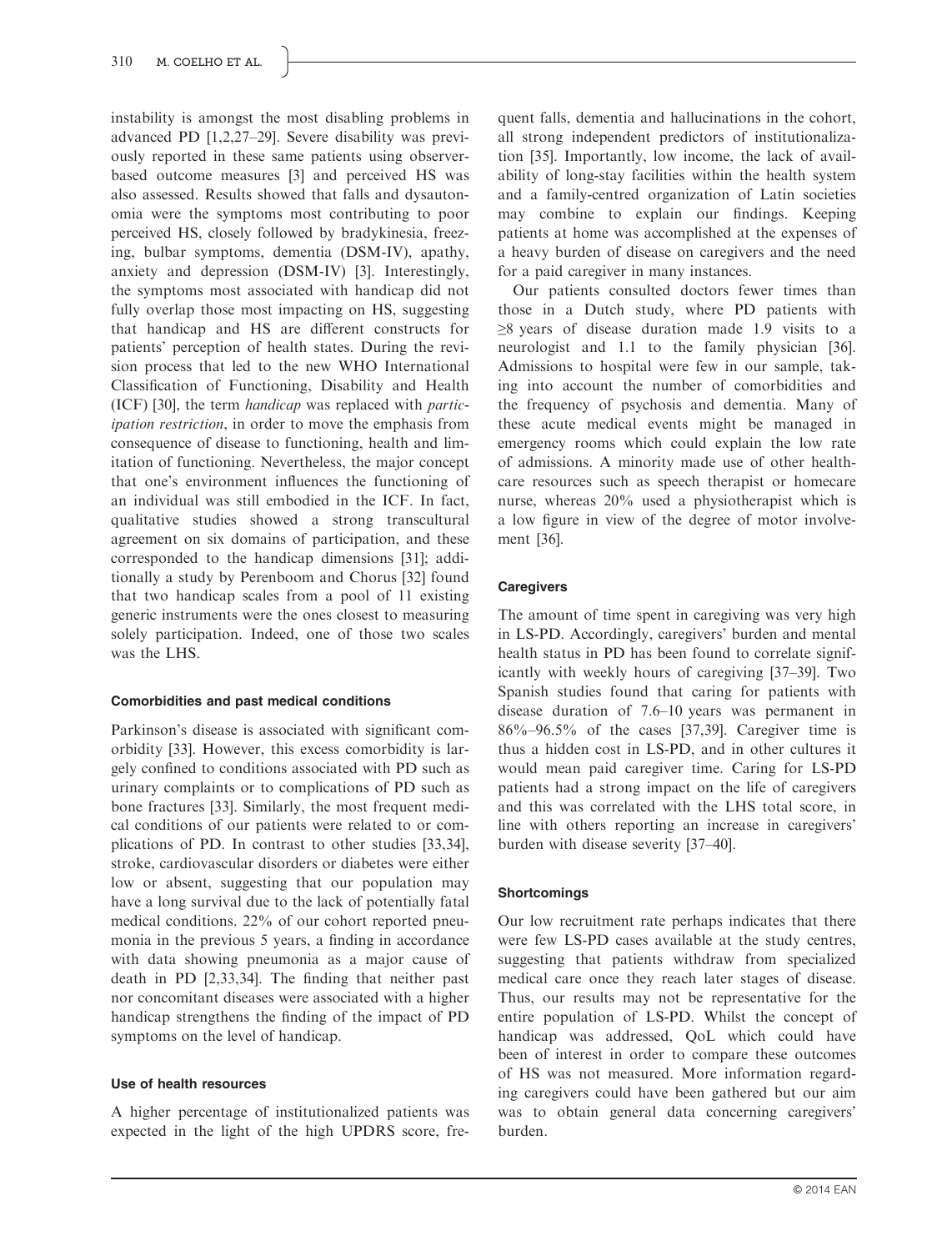instability is amongst the most disabling problems in advanced PD [1,2,27–29]. Severe disability was previously reported in these same patients using observerbased outcome measures [3] and perceived HS was also assessed. Results showed that falls and dysautonomia were the symptoms most contributing to poor perceived HS, closely followed by bradykinesia, freezing, bulbar symptoms, dementia (DSM-IV), apathy, anxiety and depression (DSM-IV) [3]. Interestingly, the symptoms most associated with handicap did not fully overlap those most impacting on HS, suggesting that handicap and HS are different constructs for patients' perception of health states. During the revision process that led to the new WHO International Classification of Functioning, Disability and Health (ICF) [30], the term handicap was replaced with participation restriction, in order to move the emphasis from consequence of disease to functioning, health and limitation of functioning. Nevertheless, the major concept that one's environment influences the functioning of an individual was still embodied in the ICF. In fact, qualitative studies showed a strong transcultural agreement on six domains of participation, and these corresponded to the handicap dimensions [31]; additionally a study by Perenboom and Chorus [32] found that two handicap scales from a pool of 11 existing generic instruments were the ones closest to measuring solely participation. Indeed, one of those two scales was the LHS.

# Comorbidities and past medical conditions

Parkinson's disease is associated with significant comorbidity [33]. However, this excess comorbidity is largely confined to conditions associated with PD such as urinary complaints or to complications of PD such as bone fractures [33]. Similarly, the most frequent medical conditions of our patients were related to or complications of PD. In contrast to other studies [33,34], stroke, cardiovascular disorders or diabetes were either low or absent, suggesting that our population may have a long survival due to the lack of potentially fatal medical conditions. 22% of our cohort reported pneumonia in the previous 5 years, a finding in accordance with data showing pneumonia as a major cause of death in PD [2,33,34]. The finding that neither past nor concomitant diseases were associated with a higher handicap strengthens the finding of the impact of PD symptoms on the level of handicap.

## Use of health resources

A higher percentage of institutionalized patients was expected in the light of the high UPDRS score, frequent falls, dementia and hallucinations in the cohort, all strong independent predictors of institutionalization [35]. Importantly, low income, the lack of availability of long-stay facilities within the health system and a family-centred organization of Latin societies may combine to explain our findings. Keeping patients at home was accomplished at the expenses of a heavy burden of disease on caregivers and the need for a paid caregiver in many instances.

Our patients consulted doctors fewer times than those in a Dutch study, where PD patients with  $\geq$ 8 years of disease duration made 1.9 visits to a neurologist and 1.1 to the family physician [36]. Admissions to hospital were few in our sample, taking into account the number of comorbidities and the frequency of psychosis and dementia. Many of these acute medical events might be managed in emergency rooms which could explain the low rate of admissions. A minority made use of other healthcare resources such as speech therapist or homecare nurse, whereas 20% used a physiotherapist which is a low figure in view of the degree of motor involvement [36].

# **Caregivers**

The amount of time spent in caregiving was very high in LS-PD. Accordingly, caregivers' burden and mental health status in PD has been found to correlate significantly with weekly hours of caregiving [37–39]. Two Spanish studies found that caring for patients with disease duration of 7.6–10 years was permanent in 86%–96.5% of the cases [37,39]. Caregiver time is thus a hidden cost in LS-PD, and in other cultures it would mean paid caregiver time. Caring for LS-PD patients had a strong impact on the life of caregivers and this was correlated with the LHS total score, in line with others reporting an increase in caregivers' burden with disease severity [37–40].

## **Shortcomings**

Our low recruitment rate perhaps indicates that there were few LS-PD cases available at the study centres, suggesting that patients withdraw from specialized medical care once they reach later stages of disease. Thus, our results may not be representative for the entire population of LS-PD. Whilst the concept of handicap was addressed, QoL which could have been of interest in order to compare these outcomes of HS was not measured. More information regarding caregivers could have been gathered but our aim was to obtain general data concerning caregivers' burden.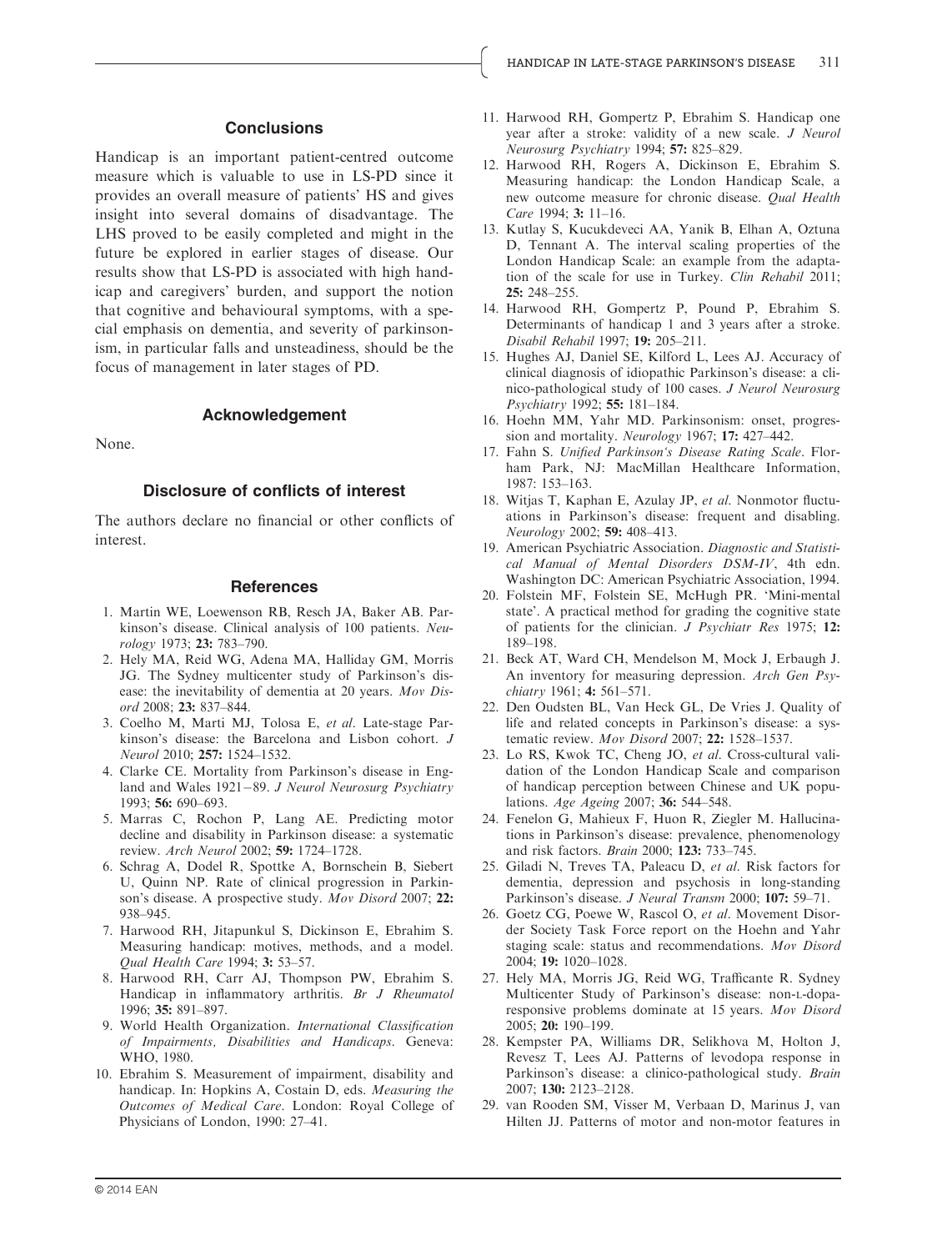### **Conclusions**

Handicap is an important patient-centred outcome measure which is valuable to use in LS-PD since it provides an overall measure of patients' HS and gives insight into several domains of disadvantage. The LHS proved to be easily completed and might in the future be explored in earlier stages of disease. Our results show that LS-PD is associated with high handicap and caregivers' burden, and support the notion that cognitive and behavioural symptoms, with a special emphasis on dementia, and severity of parkinsonism, in particular falls and unsteadiness, should be the focus of management in later stages of PD.

# Acknowledgement

None.

#### Disclosure of conflicts of interest

The authors declare no financial or other conflicts of interest.

#### **References**

- 1. Martin WE, Loewenson RB, Resch JA, Baker AB. Parkinson's disease. Clinical analysis of 100 patients. Neurology 1973; 23: 783–790.
- 2. Hely MA, Reid WG, Adena MA, Halliday GM, Morris JG. The Sydney multicenter study of Parkinson's disease: the inevitability of dementia at 20 years. Mov Disord 2008; 23: 837–844.
- 3. Coelho M, Marti MJ, Tolosa E, et al. Late-stage Parkinson's disease: the Barcelona and Lisbon cohort. J Neurol 2010; 257: 1524–1532.
- 4. Clarke CE. Mortality from Parkinson's disease in England and Wales  $1921-89$ . *J Neurol Neurosurg Psychiatry* 1993; 56: 690–693.
- 5. Marras C, Rochon P, Lang AE. Predicting motor decline and disability in Parkinson disease: a systematic review. Arch Neurol 2002; 59: 1724–1728.
- 6. Schrag A, Dodel R, Spottke A, Bornschein B, Siebert U, Quinn NP. Rate of clinical progression in Parkinson's disease. A prospective study. Mov Disord 2007; 22: 938–945.
- 7. Harwood RH, Jitapunkul S, Dickinson E, Ebrahim S. Measuring handicap: motives, methods, and a model. Qual Health Care 1994; 3: 53–57.
- 8. Harwood RH, Carr AJ, Thompson PW, Ebrahim S. Handicap in inflammatory arthritis. Br J Rheumatol 1996; 35: 891–897.
- 9. World Health Organization. International Classification of Impairments, Disabilities and Handicaps. Geneva: WHO, 1980.
- 10. Ebrahim S. Measurement of impairment, disability and handicap. In: Hopkins A, Costain D, eds. Measuring the Outcomes of Medical Care. London: Royal College of Physicians of London, 1990: 27–41.
- 11. Harwood RH, Gompertz P, Ebrahim S. Handicap one year after a stroke: validity of a new scale. J Neurol Neurosurg Psychiatry 1994; 57: 825–829.
- 12. Harwood RH, Rogers A, Dickinson E, Ebrahim S. Measuring handicap: the London Handicap Scale, a new outcome measure for chronic disease. Qual Health Care 1994; 3: 11–16.
- 13. Kutlay S, Kucukdeveci AA, Yanik B, Elhan A, Oztuna D, Tennant A. The interval scaling properties of the London Handicap Scale: an example from the adaptation of the scale for use in Turkey. Clin Rehabil 2011; 25: 248–255.
- 14. Harwood RH, Gompertz P, Pound P, Ebrahim S. Determinants of handicap 1 and 3 years after a stroke. Disabil Rehabil 1997; 19: 205–211.
- 15. Hughes AJ, Daniel SE, Kilford L, Lees AJ. Accuracy of clinical diagnosis of idiopathic Parkinson's disease: a clinico-pathological study of 100 cases. J Neurol Neurosurg Psychiatry 1992; 55: 181–184.
- 16. Hoehn MM, Yahr MD. Parkinsonism: onset, progression and mortality. Neurology 1967; 17: 427-442.
- 17. Fahn S. Unified Parkinson's Disease Rating Scale. Florham Park, NJ: MacMillan Healthcare Information, 1987: 153–163.
- 18. Witjas T, Kaphan E, Azulay JP, et al. Nonmotor fluctuations in Parkinson's disease: frequent and disabling. Neurology 2002; 59: 408–413.
- 19. American Psychiatric Association. Diagnostic and Statistical Manual of Mental Disorders DSM-IV, 4th edn. Washington DC: American Psychiatric Association, 1994.
- 20. Folstein MF, Folstein SE, McHugh PR. 'Mini-mental state'. A practical method for grading the cognitive state of patients for the clinician. J Psychiatr Res 1975; 12: 189–198.
- 21. Beck AT, Ward CH, Mendelson M, Mock J, Erbaugh J. An inventory for measuring depression. Arch Gen Psychiatry 1961; 4: 561-571.
- 22. Den Oudsten BL, Van Heck GL, De Vries J. Quality of life and related concepts in Parkinson's disease: a systematic review. Mov Disord 2007; 22: 1528–1537.
- 23. Lo RS, Kwok TC, Cheng JO, et al. Cross-cultural validation of the London Handicap Scale and comparison of handicap perception between Chinese and UK populations. Age Ageing 2007; 36: 544–548.
- 24. Fenelon G, Mahieux F, Huon R, Ziegler M. Hallucinations in Parkinson's disease: prevalence, phenomenology and risk factors. Brain 2000; 123: 733–745.
- 25. Giladi N, Treves TA, Paleacu D, et al. Risk factors for dementia, depression and psychosis in long-standing Parkinson's disease. J Neural Transm 2000; 107: 59-71.
- 26. Goetz CG, Poewe W, Rascol O, et al. Movement Disorder Society Task Force report on the Hoehn and Yahr staging scale: status and recommendations. Mov Disord 2004; 19: 1020–1028.
- 27. Hely MA, Morris JG, Reid WG, Trafficante R. Sydney Multicenter Study of Parkinson's disease: non-L-doparesponsive problems dominate at 15 years. Mov Disord 2005; 20: 190–199.
- 28. Kempster PA, Williams DR, Selikhova M, Holton J, Revesz T, Lees AJ. Patterns of levodopa response in Parkinson's disease: a clinico-pathological study. Brain 2007; 130: 2123–2128.
- 29. van Rooden SM, Visser M, Verbaan D, Marinus J, van Hilten JJ. Patterns of motor and non-motor features in